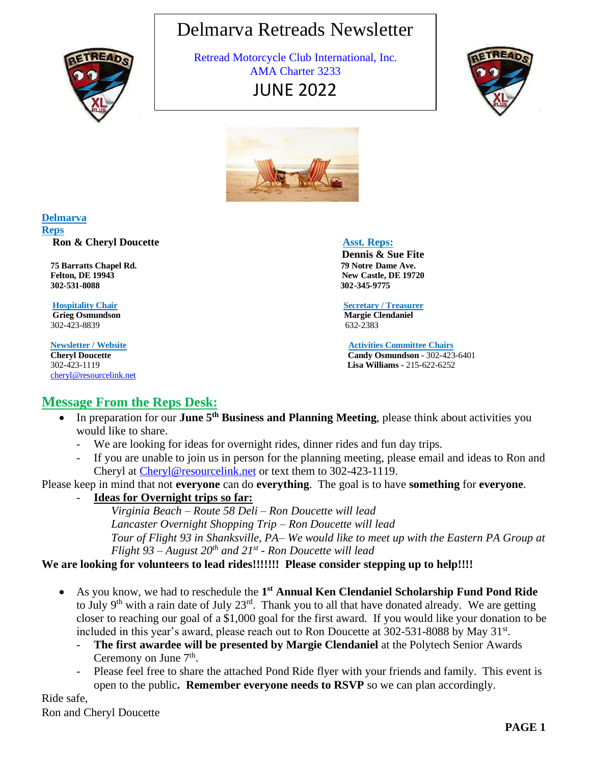# Delmarva Retreads Newsletter



 Retread Motorcycle Club International, Inc. AMA Charter 3233 JUNE 2022





#### **Delmarva Reps**

**Ron & Cheryl Doucette Asst. Reps: Asst. Reps:** 

 **75 Barratts Chapel Rd. 79 Notre Dame Ave. Felton, DE 19943** New Castle, DE 19720<br>302-531-8088 302-345-9775  **302-531-8088 302-345-9775**

**Grieg Osmundson Margie Clendaniel** 302-423-8839 632-2383

[cheryl@resourcelink.net](mailto:cheryl@resourcelink.net) 

 **Dennis & Sue Fite** 

 **Hospitality Chair Secretary / Treasurer** 

 **Newsletter / Website Activities Committee Chairs Cheryl Doucette** Cheryl **Candy Osmundson** - 302-423-6401<br> **Candy Osmundson** - 302-423-6401<br> **Lisa Williams** - 215-622-6252 302-423-1119 **Lisa Williams -** 215-622-6252

# **Message From the Reps Desk:**

- In preparation for our **June 5th Business and Planning Meeting**, please think about activities you would like to share.
	- We are looking for ideas for overnight rides, dinner rides and fun day trips.
	- If you are unable to join us in person for the planning meeting, please email and ideas to Ron and Cheryl at [Cheryl@resourcelink.net](mailto:Cheryl@resourcelink.net) or text them to 302-423-1119.

Please keep in mind that not **everyone** can do **everything**. The goal is to have **something** for **everyone**.

- **Ideas for Overnight trips so far:**

*Virginia Beach – Route 58 Deli – Ron Doucette will lead Lancaster Overnight Shopping Trip – Ron Doucette will lead Tour of Flight 93 in Shanksville, PA– We would like to meet up with the Eastern PA Group at Flight 93 – August 20th and 21st - Ron Doucette will lead*

# **We are looking for volunteers to lead rides!!!!!!! Please consider stepping up to help!!!!**

- As you know, we had to reschedule the 1<sup>st</sup> Annual Ken Clendaniel Scholarship Fund Pond Ride to July 9<sup>th</sup> with a rain date of July 23<sup>rd</sup>. Thank you to all that have donated already. We are getting closer to reaching our goal of a \$1,000 goal for the first award. If you would like your donation to be included in this year's award, please reach out to Ron Doucette at 302-531-8088 by May 31<sup>st</sup>.
	- **The first awardee will be presented by Margie Clendaniel** at the Polytech Senior Awards Ceremony on June  $7<sup>th</sup>$ .
	- Please feel free to share the attached Pond Ride flyer with your friends and family. This event is open to the public**. Remember everyone needs to RSVP** so we can plan accordingly.

Ride safe, Ron and Cheryl Doucette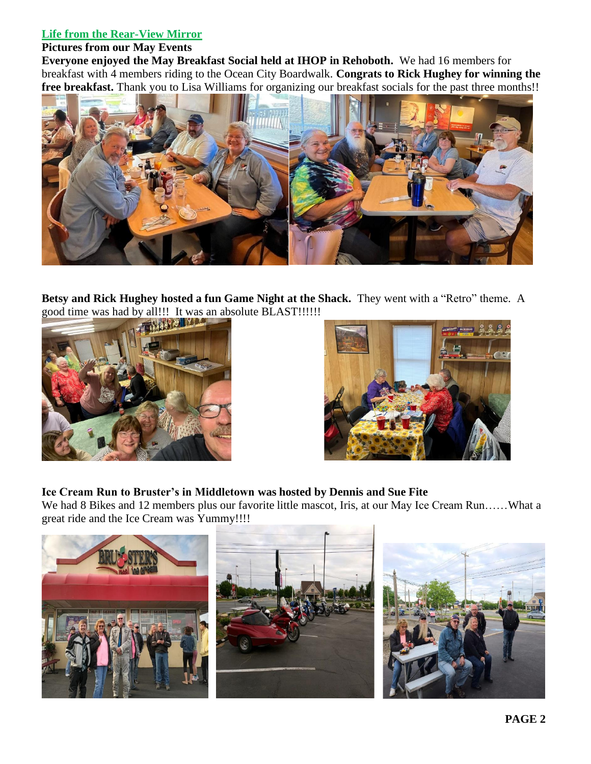#### **Life from the Rear-View Mirror**

#### **Pictures from our May Events**

**Everyone enjoyed the May Breakfast Social held at IHOP in Rehoboth.**We had 16 members for breakfast with 4 members riding to the Ocean City Boardwalk. **Congrats to Rick Hughey for winning the free breakfast.** Thank you to Lisa Williams for organizing our breakfast socials for the past three months!!



**Betsy and Rick Hughey hosted a fun Game Night at the Shack.** They went with a "Retro" theme. A good time was had by all!!! It was an absolute BLAST!!!!!!!





## **Ice Cream Run to Bruster's in Middletown was hosted by Dennis and Sue Fite**

We had 8 Bikes and 12 members plus our favorite little mascot, Iris, at our May Ice Cream Run……What a great ride and the Ice Cream was Yummy!!!!

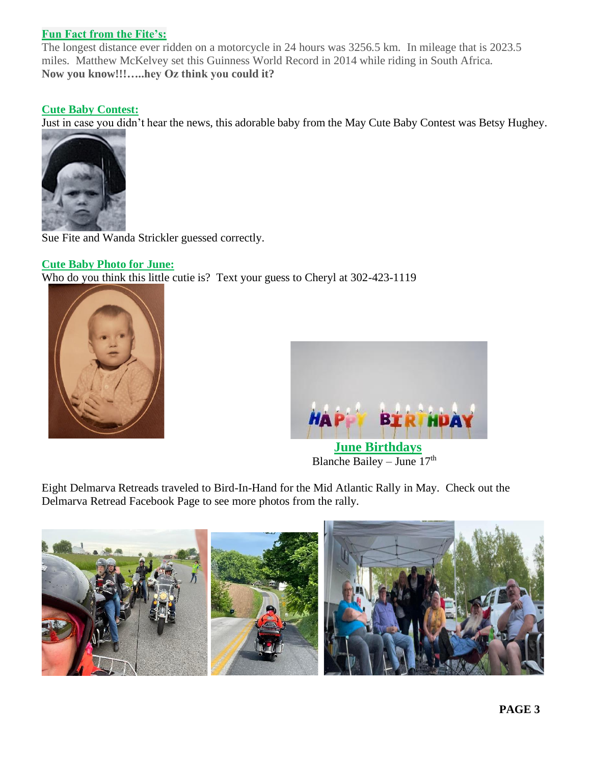### **Fun Fact from the Fite's:**

The longest distance ever ridden on a motorcycle in 24 hours was 3256.5 km. In mileage that is 2023.5 miles. Matthew McKelvey set this Guinness World Record in 2014 while riding in South Africa. **Now you know!!!…..hey Oz think you could it?**

#### **Cute Baby Contest:**

Just in case you didn't hear the news, this adorable baby from the May Cute Baby Contest was Betsy Hughey.



Sue Fite and Wanda Strickler guessed correctly.

#### **Cute Baby Photo for June:**

Who do you think this little cutie is? Text your guess to Cheryl at 302-423-1119





**Blanche Bailey – June 17th** 

Eight Delmarva Retreads traveled to Bird-In-Hand for the Mid Atlantic Rally in May. Check out the Delmarva Retread Facebook Page to see more photos from the rally.